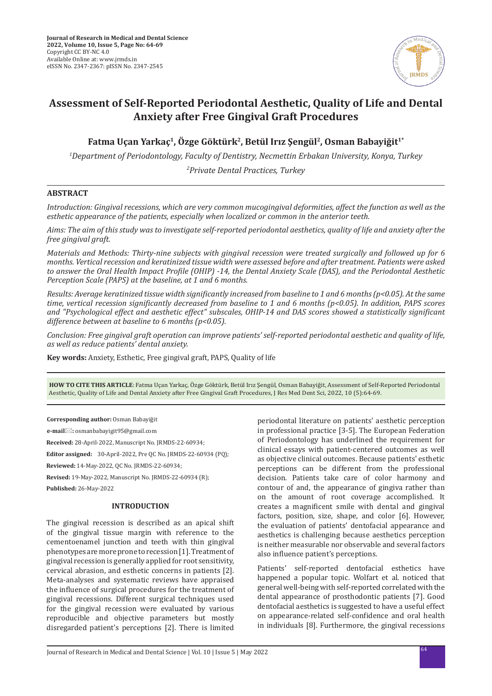

# **Assessment of Self-Reported Periodontal Aesthetic, Quality of Life and Dental Anxiety after Free Gingival Graft Procedures**

**Fatma Uçan Yarkaç1, Özge Göktürk2, Betül Irız Şengül<sup>2</sup>, Osman Babayiğit1\***

*1 Department of Periodontology, Faculty of Dentistry, Necmettin Erbakan University, Konya, Turkey*

*2 Private Dental Practices, Turkey*

# **ABSTRACT**

*Introduction: Gingival recessions, which are very common mucogingival deformities, affect the function as well as the esthetic appearance of the patients, especially when localized or common in the anterior teeth.* 

*Aims: The aim of this study was to investigate self-reported periodontal aesthetics, quality of life and anxiety after the free gingival graft.*

*Materials and Methods: Thirty-nine subjects with gingival recession were treated surgically and followed up for 6 months. Vertical recession and keratinized tissue width were assessed before and after treatment. Patients were asked to answer the Oral Health Impact Profile (OHIP) -14, the Dental Anxiety Scale (DAS), and the Periodontal Aesthetic Perception Scale (PAPS) at the baseline, at 1 and 6 months.*

*Results: Average keratinized tissue width significantly increased from baseline to 1 and 6 months (p<0.05). At the same time, vertical recession significantly decreased from baseline to 1 and 6 months (p<0.05). In addition, PAPS scores and "Psychological effect and aesthetic effect" subscales, OHIP-14 and DAS scores showed a statistically significant difference between at baseline to 6 months (p<0.05).*

*Conclusion: Free gingival graft operation can improve patients' self-reported periodontal aesthetic and quality of life, as well as reduce patients' dental anxiety.*

**Key words:** Anxiety, Esthetic, Free gingival graft, PAPS, Quality of life

**HOW TO CITE THIS ARTICLE**: Fatma Uçan Yarkaç, Özge Göktürk, Betül Irız Şengül, Osman Babayiğit, Assessment of Self-Reported Periodontal Aesthetic, Quality of Life and Dental Anxiety after Free Gingival Graft Procedures, J Res Med Dent Sci, 2022, 10 (5):64-69.

**Corresponding author:** Osman Babayiğit

**e-mail:** osmanbabayigit95@gmail.com

**Received:** 28-April-2022, Manuscript No. JRMDS-22-60934;

**Editor assigned:** 30-April-2022, Pre QC No. JRMDS-22-60934 (PQ);

**Reviewed:** 14-May-2022, QC No. JRMDS-22-60934;

**Revised:** 19-May-2022, Manuscript No. JRMDS-22-60934 (R);

**Published:** 26-May-2022

## **INTRODUCTION**

The gingival recession is described as an apical shift of the gingival tissue margin with reference to the cementoenamel junction and teeth with thin gingival phenotypes are more prone to recession [1]. Treatment of gingival recession is generally applied for root sensitivity, cervical abrasion, and esthetic concerns in patients [2]. Meta-analyses and systematic reviews have appraised the influence of surgical procedures for the treatment of gingival recessions. Different surgical techniques used for the gingival recession were evaluated by various reproducible and objective parameters but mostly disregarded patient's perceptions [2]. There is limited periodontal literature on patients' aesthetic perception in professional practice [3-5]. The European Federation of Periodontology has underlined the requirement for clinical essays with patient-centered outcomes as well as objective clinical outcomes. Because patients' esthetic perceptions can be different from the professional decision. Patients take care of color harmony and contour of and, the appearance of gingiva rather than on the amount of root coverage accomplished. It creates a magnificent smile with dental and gingival factors, position, size, shape, and color [6]. However, the evaluation of patients' dentofacial appearance and aesthetics is challenging because aesthetics perception is neither measurable nor observable and several factors also influence patient's perceptions.

Patients' self-reported dentofacial esthetics have happened a popular topic. Wolfart et al. noticed that general well-being with self-reported correlated with the dental appearance of prosthodontic patients [7]. Good dentofacial aesthetics is suggested to have a useful effect on appearance-related self-confidence and oral health in individuals [8]. Furthermore, the gingival recessions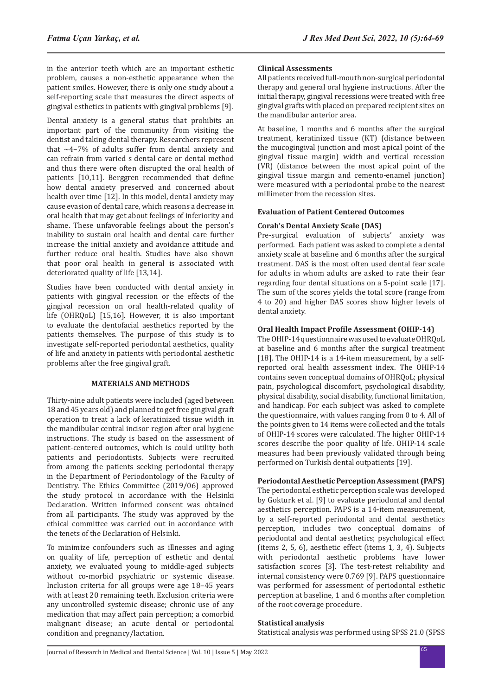in the anterior teeth which are an important esthetic problem, causes a non-esthetic appearance when the patient smiles. However, there is only one study about a self-reporting scale that measures the direct aspects of gingival esthetics in patients with gingival problems [9].

Dental anxiety is a general status that prohibits an important part of the community from visiting the dentist and taking dental therapy. Researchers represent that  $~4$ -7% of adults suffer from dental anxiety and can refrain from varied s dental care or dental method and thus there were often disrupted the oral health of patients [10,11]. Berggren recommended that define how dental anxiety preserved and concerned about health over time [12]. In this model, dental anxiety may cause evasion of dental care, which reasons a decrease in oral health that may get about feelings of inferiority and shame. These unfavorable feelings about the person's inability to sustain oral health and dental care further increase the initial anxiety and avoidance attitude and further reduce oral health. Studies have also shown that poor oral health in general is associated with deteriorated quality of life [13,14].

Studies have been conducted with dental anxiety in patients with gingival recession or the effects of the gingival recession on oral health-related quality of life (OHRQoL) [15,16]. However, it is also important to evaluate the dentofacial aesthetics reported by the patients themselves. The purpose of this study is to investigate self-reported periodontal aesthetics, quality of life and anxiety in patients with periodontal aesthetic problems after the free gingival graft.

## **MATERIALS AND METHODS**

Thirty-nine adult patients were included (aged between 18 and 45 years old) and planned to get free gingival graft operation to treat a lack of keratinized tissue width in the mandibular central incisor region after oral hygiene instructions. The study is based on the assessment of patient-centered outcomes, which is could utility both patients and periodontists. Subjects were recruited from among the patients seeking periodontal therapy in the Department of Periodontology of the Faculty of Dentistry. The Ethics Committee (2019/06) approved the study protocol in accordance with the Helsinki Declaration. Written informed consent was obtained from all participants. The study was approved by the ethical committee was carried out in accordance with the tenets of the Declaration of Helsinki.

To minimize confounders such as illnesses and aging on quality of life, perception of esthetic and dental anxiety, we evaluated young to middle-aged subjects without co-morbid psychiatric or systemic disease. Inclusion criteria for all groups were age 18–45 years with at least 20 remaining teeth. Exclusion criteria were any uncontrolled systemic disease; chronic use of any medication that may affect pain perception; a comorbid malignant disease; an acute dental or periodontal condition and pregnancy/lactation.

#### **Clinical Assessments**

All patients received full-mouth non-surgical periodontal therapy and general oral hygiene instructions. After the initial therapy, gingival recessions were treated with free gingival grafts with placed on prepared recipient sites on the mandibular anterior area.

At baseline, 1 months and 6 months after the surgical treatment, keratinized tissue (KT) (distance between the mucogingival junction and most apical point of the gingival tissue margin) width and vertical recession (VR) (distance between the most apical point of the gingival tissue margin and cemento-enamel junction) were measured with a periodontal probe to the nearest millimeter from the recession sites.

# **Evaluation of Patient Centered Outcomes**

#### **Corah's Dental Anxiety Scale (DAS)**

Pre-surgical evaluation of subjects' anxiety was performed. Each patient was asked to complete a dental anxiety scale at baseline and 6 months after the surgical treatment. DAS is the most often used dental fear scale for adults in whom adults are asked to rate their fear regarding four dental situations on a 5-point scale [17]. The sum of the scores yields the total score (range from 4 to 20) and higher DAS scores show higher levels of dental anxiety.

#### **Oral Health Impact Profile Assessment (OHIP-14)**

The OHIP-14 questionnaire was used to evaluate OHRQoL at baseline and 6 months after the surgical treatment [18]. The OHIP-14 is a 14-item measurement, by a selfreported oral health assessment index. The OHIP-14 contains seven conceptual domains of OHRQoL; physical pain, psychological discomfort, psychological disability, physical disability, social disability, functional limitation, and handicap. For each subject was asked to complete the questionnaire, with values ranging from 0 to 4. All of the points given to 14 items were collected and the totals of OHIP-14 scores were calculated. The higher OHIP-14 scores describe the poor quality of life. OHIP-14 scale measures had been previously validated through being performed on Turkish dental outpatients [19].

## **Periodontal Aesthetic Perception Assessment (PAPS)**

The periodontal esthetic perception scale was developed by Gokturk et al. [9] to evaluate periodontal and dental aesthetics perception. PAPS is a 14-item measurement, by a self-reported periodontal and dental aesthetics perception, includes two conceptual domains of periodontal and dental aesthetics; psychological effect (items 2, 5, 6), aesthetic effect (items 1, 3, 4). Subjects with periodontal aesthetic problems have lower satisfaction scores [3]. The test-retest reliability and internal consistency were 0.769 [9]. PAPS questionnaire was performed for assessment of periodontal esthetic perception at baseline, 1 and 6 months after completion of the root coverage procedure.

#### **Statistical analysis**

Statistical analysis was performed using SPSS 21.0 (SPSS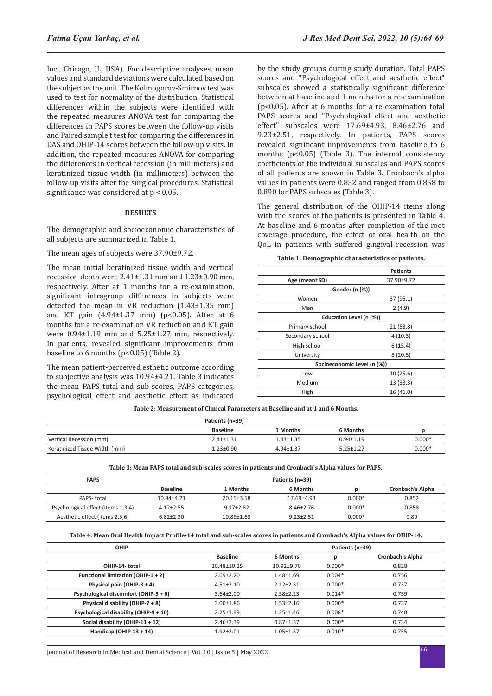Inc., Chicago, IL, USA). For descriptive analyses, mean values and standard deviations were calculated based on the subject as the unit. The Kolmogorov-Smirnov test was used to test for normality of the distribution. Statistical differences within the subjects were identified with the repeated measures ANOVA test for comparing the differences in PAPS scores between the follow-up visits and Paired sample t test for comparing the differences in DAS and OHIP-14 scores between the follow-up visits. In addition, the repeated measures ANOVA for comparing the differences in vertical recession (in millimeters) and keratinized tissue width (in millimeters) between the follow-up visits after the surgical procedures. Statistical

#### **RESULTS**

The demographic and socioeconomic characteristics of all subjects are summarized in Table 1.

#### The mean ages of subjects were 37.90±9.72.

significance was considered at p < 0.05.

The mean initial keratinized tissue width and vertical recession depth were 2.41±1.31 mm and 1.23±0.90 mm, respectively. After at 1 months for a re-examination, significant intragroup differences in subjects were detected the mean in VR reduction (1.43±1.35 mm) and KT gain  $(4.94 \pm 1.37 \text{ mm})$  (p<0.05). After at 6 months for a re-examination VR reduction and KT gain were 0.94±1.19 mm and 5.25±1.27 mm, respectively. In patients, revealed significant improvements from baseline to 6 months (p<0.05) (Table 2).

The mean patient-perceived esthetic outcome according to subjective analysis was 10.94±4.21. Table 3 indicates the mean PAPS total and sub-scores, PAPS categories, psychological effect and aesthetic effect as indicated by the study groups during study duration. Total PAPS scores and "Psychological effect and aesthetic effect" subscales showed a statistically significant difference between at baseline and 1 months for a re-examination (p<0.05). After at 6 months for a re-examination total PAPS scores and "Psychological effect and aesthetic effect" subscales were 17.69±4.93, 8.46±2.76 and 9.23±2.51, respectively. In patients, PAPS scores revealed significant improvements from baseline to 6 months (p<0.05) (Table 3). The internal consistency coefficients of the individual subscales and PAPS scores of all patients are shown in Table 3. Cronbach's alpha values in patients were 0.852 and ranged from 0.858 to 0.890 for PAPS subscales (Table 3).

The general distribution of the OHIP-14 items along with the scores of the patients is presented in Table 4. At baseline and 6 months after completion of the root coverage procedure, the effect of oral health on the QoL in patients with suffered gingival recession was

**Table 1: Demographic characteristics of patients.**

|                             | <b>Patients</b> |  |  |  |
|-----------------------------|-----------------|--|--|--|
| Age (mean±SD)               | 37.90±9.72      |  |  |  |
| Gender (n (%))              |                 |  |  |  |
| Women                       | 37 (95.1)       |  |  |  |
| Men                         | 2(4.9)          |  |  |  |
| Education Level (n (%))     |                 |  |  |  |
| Primary school              | 21 (53.8)       |  |  |  |
| Secondary school            | 4(10.3)         |  |  |  |
| High school                 | 6(15.4)         |  |  |  |
| University                  | 8(20.5)         |  |  |  |
| Socioeconomic Level (n (%)) |                 |  |  |  |
| Low                         | 10(25.6)        |  |  |  |
| Medium                      | 13 (33.3)       |  |  |  |
| High                        | 16 (41.0)       |  |  |  |
|                             |                 |  |  |  |

**Table 2: Measurement of Clinical Parameters at Baseline and at 1 and 6 Months.**

|                               | Patients (n=39) |                 |                 |          |
|-------------------------------|-----------------|-----------------|-----------------|----------|
|                               | <b>Baseline</b> | 1 Months        | 6 Months        |          |
| Vertical Recession (mm)       | $2.41 \pm 1.31$ | $1.43 + 1.35$   | $0.94 \pm 1.19$ | $0.000*$ |
| Keratinized Tissue Width (mm) | 1.23±0.90       | $4.94 \pm 1.37$ | $5.25 \pm 1.27$ | $0.000*$ |

**Table 3: Mean PAPS total and sub-scales scores in patients and Cronbach's Alpha values for PAPS.**

| <b>PAPS</b>                        | Patients (n=39) |                  |                 |          |                         |
|------------------------------------|-----------------|------------------|-----------------|----------|-------------------------|
|                                    | <b>Baseline</b> | 1 Months         | 6 Months        |          | <b>Cronbach's Alpha</b> |
| PAPS-total                         | $10.94 + 4.21$  | $20.15 \pm 3.58$ | 17.69±4.93      | $0.000*$ | 0.852                   |
| Psychological effect (items 1,3,4) | $4.12 + 2.55$   | $9.17 + 2.82$    | $8.46 \pm 2.76$ | $0.000*$ | 0.858                   |
| Aesthetic effect (items 2,5,6)     | $6.82 + 2.30$   | $10.89 \pm 1.63$ | $9.23 \pm 2.51$ | $0.000*$ | 0.89                    |

**Table 4: Mean Oral Health Impact Profile-14 total and sub-scales scores in patients and Cronbach's Alpha values for OHIP-14.**

| OHIP                                   |                 | Patients (n=39) |          |                         |  |
|----------------------------------------|-----------------|-----------------|----------|-------------------------|--|
|                                        | <b>Baseline</b> | 6 Months        | р        | <b>Cronbach's Alpha</b> |  |
| OHIP-14- total                         | 20.48±10.25     | $10.92 + 9.70$  | $0.000*$ | 0.828                   |  |
| Functional limitation (OHIP-1 + 2)     | $2.69 \pm 2.20$ | 1.48±1.69       | $0.004*$ | 0.756                   |  |
| Physical pain (OHIP-3 + 4)             | $4.51 \pm 2.10$ | $2.12 + 2.31$   | $0.000*$ | 0.737                   |  |
| Psychological discomfort (OHIP-5 + 6)  | $3.64 \pm 2.00$ | $2.58 \pm 2.23$ | $0.014*$ | 0.759                   |  |
| Physical disability (OHIP-7 + 8)       | $3.00 \pm 1.86$ | $1.53 \pm 2.16$ | $0.000*$ | 0.737                   |  |
| Psychological disability (OHIP-9 + 10) | $2.25 \pm 1.99$ | $1.25 \pm 1.46$ | $0.008*$ | 0.748                   |  |
| Social disability (OHIP-11 + 12)       | $2.46 \pm 2.39$ | $0.87 + 1.37$   | $0.000*$ | 0.734                   |  |
| Handicap (OHIP-13 + 14)                | $1.92 + 2.01$   | $1.05 + 1.57$   | $0.010*$ | 0.755                   |  |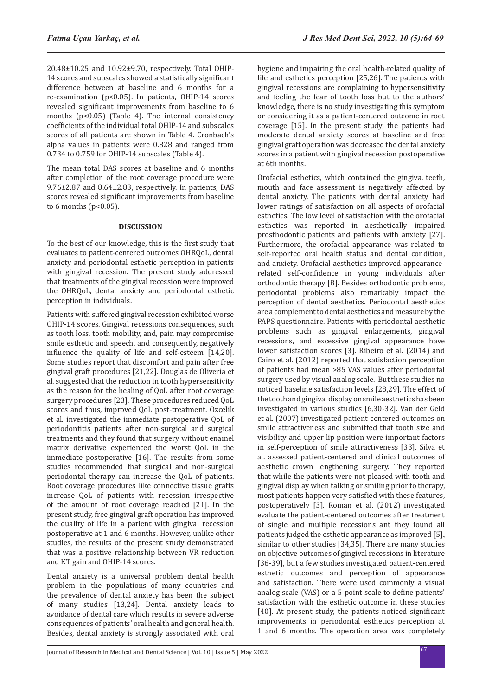20.48±10.25 and 10.92±9.70, respectively. Total OHIP-14 scores and subscales showed a statistically significant difference between at baseline and 6 months for a re-examination (p<0.05). In patients, OHIP-14 scores revealed significant improvements from baseline to 6 months (p<0.05) (Table 4). The internal consistency coefficients of the individual total OHIP-14 and subscales scores of all patients are shown in Table 4. Cronbach's alpha values in patients were 0.828 and ranged from 0.734 to 0.759 for OHIP-14 subscales (Table 4).

The mean total DAS scores at baseline and 6 months after completion of the root coverage procedure were 9.76±2.87 and 8.64±2.83, respectively. In patients, DAS scores revealed significant improvements from baseline to 6 months ( $p<0.05$ ).

#### **DISCUSSION**

To the best of our knowledge, this is the first study that evaluates to patient-centered outcomes OHRQoL, dental anxiety and periodontal esthetic perception in patients with gingival recession. The present study addressed that treatments of the gingival recession were improved the OHRQoL, dental anxiety and periodontal esthetic perception in individuals.

Patients with suffered gingival recession exhibited worse OHIP-14 scores. Gingival recessions consequences, such as tooth loss, tooth mobility, and, pain may compromise smile esthetic and speech, and consequently, negatively influence the quality of life and self-esteem [14,20]. Some studies report that discomfort and pain after free gingival graft procedures [21,22]. Douglas de Oliveria et al. suggested that the reduction in tooth hypersensitivity as the reason for the healing of QoL after root coverage surgery procedures [23]. These procedures reduced QoL scores and thus, improved QoL post-treatment. Ozcelik et al. investigated the immediate postoperative QoL of periodontitis patients after non-surgical and surgical treatments and they found that surgery without enamel matrix derivative experienced the worst QoL in the immediate postoperative [16]. The results from some studies recommended that surgical and non-surgical periodontal therapy can increase the QoL of patients. Root coverage procedures like connective tissue grafts increase QoL of patients with recession irrespective of the amount of root coverage reached [21]. In the present study, free gingival graft operation has improved the quality of life in a patient with gingival recession postoperative at 1 and 6 months. However, unlike other studies, the results of the present study demonstrated that was a positive relationship between VR reduction and KT gain and OHIP-14 scores.

Dental anxiety is a universal problem dental health problem in the populations of many countries and the prevalence of dental anxiety has been the subject of many studies [13,24]. Dental anxiety leads to avoidance of dental care which results in severe adverse consequences of patients' oral health and general health. Besides, dental anxiety is strongly associated with oral hygiene and impairing the oral health-related quality of life and esthetics perception [25,26]. The patients with gingival recessions are complaining to hypersensitivity and feeling the fear of tooth loss but to the authors' knowledge, there is no study investigating this symptom or considering it as a patient-centered outcome in root coverage [15]. In the present study, the patients had moderate dental anxiety scores at baseline and free gingival graft operation was decreased the dental anxiety scores in a patient with gingival recession postoperative at 6th months.

Orofacial esthetics, which contained the gingiva, teeth, mouth and face assessment is negatively affected by dental anxiety. The patients with dental anxiety had lower ratings of satisfaction on all aspects of orofacial esthetics. The low level of satisfaction with the orofacial esthetics was reported in aesthetically impaired prosthodontic patients and patients with anxiety [27]. Furthermore, the orofacial appearance was related to self-reported oral health status and dental condition, and anxiety. Orofacial aesthetics improved appearancerelated self-confidence in young individuals after orthodontic therapy [8]. Besides orthodontic problems, periodontal problems also remarkably impact the perception of dental aesthetics. Periodontal aesthetics are a complement to dental aesthetics and measure by the PAPS questionnaire. Patients with periodontal aesthetic problems such as gingival enlargements, gingival recessions, and excessive gingival appearance have lower satisfaction scores [3]. Ribeiro et al. (2014) and Cairo et al. (2012) reported that satisfaction perception of patients had mean >85 VAS values after periodontal surgery used by visual analog scale. But these studies no noticed baseline satisfaction levels [28,29]. The effect of the tooth and gingival display on smile aesthetics has been investigated in various studies [6,30-32]. Van der Geld et al. (2007) investigated patient-centered outcomes on smile attractiveness and submitted that tooth size and visibility and upper lip position were important factors in self-perception of smile attractiveness [33]. Silva et al. assessed patient-centered and clinical outcomes of aesthetic crown lengthening surgery. They reported that while the patients were not pleased with tooth and gingival display when talking or smiling prior to therapy, most patients happen very satisfied with these features, postoperatively [3]. Roman et al. (2012) investigated evaluate the patient-centered outcomes after treatment of single and multiple recessions ant they found all patients judged the esthetic appearance as improved [5], similar to other studies [34,35]. There are many studies on objective outcomes of gingival recessions in literature [36-39], but a few studies investigated patient-centered esthetic outcomes and perception of appearance and satisfaction. There were used commonly a visual analog scale (VAS) or a 5‐point scale to define patients' satisfaction with the esthetic outcome in these studies [40]. At present study, the patients noticed significant improvements in periodontal esthetics perception at 1 and 6 months. The operation area was completely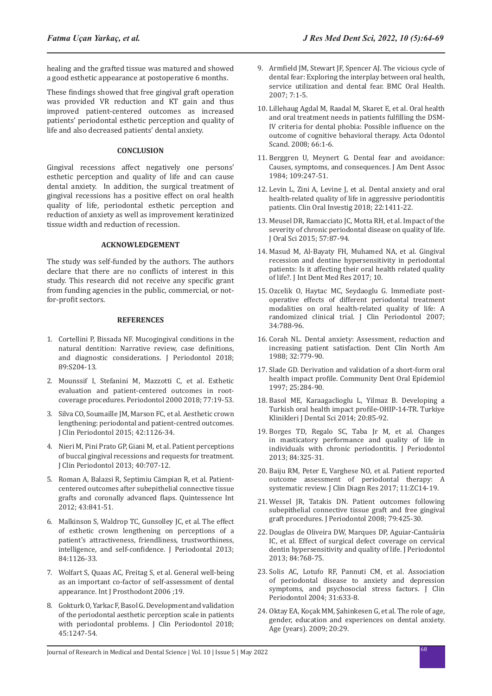healing and the grafted tissue was matured and showed a good esthetic appearance at postoperative 6 months.

These findings showed that free gingival graft operation was provided VR reduction and KT gain and thus improved patient-centered outcomes as increased patients' periodontal esthetic perception and quality of life and also decreased patients' dental anxiety.

#### **CONCLUSION**

Gingival recessions affect negatively one persons' esthetic perception and quality of life and can cause dental anxiety. In addition, the surgical treatment of gingival recessions has a positive effect on oral health quality of life, periodontal esthetic perception and reduction of anxiety as well as improvement keratinized tissue width and reduction of recession.

#### **ACKNOWLEDGEMENT**

The study was self-funded by the authors. The authors declare that there are no conflicts of interest in this study. This research did not receive any specific grant from funding agencies in the public, commercial, or notfor-profit sectors.

#### **REFERENCES**

- 1. Cortellini P, Bissada NF. [Mucogingival conditions in the](https://aap.onlinelibrary.wiley.com/doi/full/10.1002/JPER.16-0671) [natural dentition: Narrative review, case definitions,](https://aap.onlinelibrary.wiley.com/doi/full/10.1002/JPER.16-0671) [and diagnostic considerations](https://aap.onlinelibrary.wiley.com/doi/full/10.1002/JPER.16-0671). J Periodontol 2018; 89:S204-13.
- 2. Mounssif I, Stefanini M, Mazzotti C, et al. [Esthetic](https://onlinelibrary.wiley.com/doi/abs/10.1111/prd.12216) [evaluation and patient‐centered outcomes in root‐](https://onlinelibrary.wiley.com/doi/abs/10.1111/prd.12216) [coverage procedures](https://onlinelibrary.wiley.com/doi/abs/10.1111/prd.12216). Periodontol 2000 2018; 77:19-53.
- 3. Silva CO, Soumaille JM, Marson FC, et al. [Aesthetic crown](https://onlinelibrary.wiley.com/doi/abs/10.1111/jcpe.12482) [lengthening: periodontal and patient‐centred outcomes.](https://onlinelibrary.wiley.com/doi/abs/10.1111/jcpe.12482) J Clin Periodontol 2015; 42:1126-34.
- 4. Nieri M, Pini Prato GP, Giani M, et al. [Patient perceptions](https://onlinelibrary.wiley.com/doi/abs/10.1111/jcpe.12114) [of buccal gingival recessions and requests for treatment.](https://onlinelibrary.wiley.com/doi/abs/10.1111/jcpe.12114) J Clin Periodontol 2013; 40:707-12.
- 5. Roman A, Balazsi R, Septimiu Cämpian R, et al. [Patient](https://www.quintessence-publishing.com/deu/en/article/840576)[centered outcomes after subepithelial connective tissue](https://www.quintessence-publishing.com/deu/en/article/840576) [grafts and coronally advanced flaps.](https://www.quintessence-publishing.com/deu/en/article/840576) Quintessence Int 2012; 43:841-51.
- 6. Malkinson S, Waldrop TC, Gunsolley JC, et al. [The effect](https://aap.onlinelibrary.wiley.com/doi/abs/10.1902/jop.2012.120403) [of esthetic crown lengthening on perceptions of a](https://aap.onlinelibrary.wiley.com/doi/abs/10.1902/jop.2012.120403) patient['s attractiveness, friendliness, trustworthiness,](https://aap.onlinelibrary.wiley.com/doi/abs/10.1902/jop.2012.120403) intelligence, and self-confidence. J Periodontal 2013; 84:1126-33.
- 7. Wolfart S, Quaas AC, Freitag S, et al. [General well-being](http://www.quintpub.com/userhome/ijp/ijp_19_5_wolfart_4.pdf) [as an important co-factor of self-assessment of dental](http://www.quintpub.com/userhome/ijp/ijp_19_5_wolfart_4.pdf) [appearance](http://www.quintpub.com/userhome/ijp/ijp_19_5_wolfart_4.pdf). Int J Prosthodont 2006 ;19.
- 8. Gokturk O, Yarkac F, Basol G. [Development and validation](https://onlinelibrary.wiley.com/doi/10.1111/jcpe.13000) [of the periodontal aesthetic perception scale in patients](https://onlinelibrary.wiley.com/doi/10.1111/jcpe.13000) [with periodontal problems.](https://onlinelibrary.wiley.com/doi/10.1111/jcpe.13000) J Clin Periodontol 2018; 45:1247-54.
- 9. Armfield JM, Stewart JF, Spencer AJ. [The vicious cycle of](https://link.springer.com/article/10.1186/1472-6831-7-1)  [dental fear: Exploring the interplay between oral health,](https://link.springer.com/article/10.1186/1472-6831-7-1)  [service utilization and dental fear.](https://link.springer.com/article/10.1186/1472-6831-7-1) BMC Oral Health. 2007; 7:1-5.
- 10. Lillehaug Agdal M, Raadal M, Skaret E, et al. [Oral health](https://www.tandfonline.com/doi/abs/10.1080/00016350701793714)  [and oral treatment needs in patients fulfilling the DSM-](https://www.tandfonline.com/doi/abs/10.1080/00016350701793714)[IV criteria for dental phobia: Possible influence on the](https://www.tandfonline.com/doi/abs/10.1080/00016350701793714)  [outcome of cognitive behavioral therapy.](https://www.tandfonline.com/doi/abs/10.1080/00016350701793714) Acta Odontol Scand. 2008; 66:1-6.
- 11. Berggren U, Meynert G. [Dental fear and avoidance:](https://jada.ada.org/article/S0002-8177(84)92032-4/pdf)  [Causes, symptoms, and consequences.](https://jada.ada.org/article/S0002-8177(84)92032-4/pdf) J Am Dent Assoc 1984; 109:247-51.
- 12. Levin L, Zini A, Levine J, et al. [Dental anxiety and oral](https://link.springer.com/article/10.1007/s00784-017-2234-8)  [health-related quality of life in aggressive periodontitis](https://link.springer.com/article/10.1007/s00784-017-2234-8)  [patients.](https://link.springer.com/article/10.1007/s00784-017-2234-8) Clin Oral Investig 2018; 22:1411-22.
- 13. Meusel DR, Ramacciato JC, Motta RH, et al. [Impact of the](https://www.jstage.jst.go.jp/article/josnusd/57/2/57_87/_article)  [severity of chronic periodontal disease on quality of life.](https://www.jstage.jst.go.jp/article/josnusd/57/2/57_87/_article) J Oral Sci 2015; 57:87-94.
- 14. Masud M, Al-Bayaty FH, Muhamed NA, et al. [Gingival](http://www.jidmr.com/journal/wp-content/uploads/2017/12/12.D17_416_Fouad_AL_Bayaty6.pdf)  [recession and dentine hypersensitivity in periodontal](http://www.jidmr.com/journal/wp-content/uploads/2017/12/12.D17_416_Fouad_AL_Bayaty6.pdf)  [patients: Is it affecting their oral health related quality](http://www.jidmr.com/journal/wp-content/uploads/2017/12/12.D17_416_Fouad_AL_Bayaty6.pdf)  [of life?.](http://www.jidmr.com/journal/wp-content/uploads/2017/12/12.D17_416_Fouad_AL_Bayaty6.pdf) J Int Dent Med Res 2017; 10.
- 15. Ozcelik O, Haytac MC, Seydaoglu G. [Immediate post‐](https://onlinelibrary.wiley.com/doi/10.1111/j.1600-051X.2007.01120.x) [operative effects of different periodontal treatment](https://onlinelibrary.wiley.com/doi/10.1111/j.1600-051X.2007.01120.x)  [modalities on oral health‐related quality of life: A](https://onlinelibrary.wiley.com/doi/10.1111/j.1600-051X.2007.01120.x)  [randomized clinical trial.](https://onlinelibrary.wiley.com/doi/10.1111/j.1600-051X.2007.01120.x) J Clin Periodontol 2007; 34:788-96.
- 16. Corah NL. [Dental anxiety: Assessment, reduction and](https://www.sciencedirect.com/science/article/abs/pii/S001185322200310X)  [increasing patient satisfaction.](https://www.sciencedirect.com/science/article/abs/pii/S001185322200310X) Dent Clin North Am 1988; 32:779-90.
- 17. Slade GD. [Derivation and validation of a short‐form oral](https://onlinelibrary.wiley.com/doi/abs/10.1111/j.1600-0528.1997.tb00941.x)  [health impact profile.](https://onlinelibrary.wiley.com/doi/abs/10.1111/j.1600-0528.1997.tb00941.x) Community Dent Oral Epidemiol 1997; 25:284-90.
- 18. Basol ME, Karaagaclioglu L, Yilmaz B. Developing a Turkish oral health impact profile-OHIP-14-TR. Turkiye Klinikleri J Dental Sci 2014; 20:85-92.
- 19. Borges TD, Regalo SC, Taba Jr M, et al. [Changes](https://aap.onlinelibrary.wiley.com/doi/abs/10.1902/jop.2012.120069)  [in masticatory performance and quality of life in](https://aap.onlinelibrary.wiley.com/doi/abs/10.1902/jop.2012.120069)  [individuals with chronic periodontitis.](https://aap.onlinelibrary.wiley.com/doi/abs/10.1902/jop.2012.120069) J Periodontol 2013; 84:325-31.
- 20. Baiju RM, Peter E, Varghese NO, et al. [Patient reported](https://jcdr.net/article_fulltext.asp?issn=0973-709x&year=2017&volume=11&issue=8&page=ZC14&issn=0973-709x&id=10343)  [outcome assessment of periodontal therapy: A](https://jcdr.net/article_fulltext.asp?issn=0973-709x&year=2017&volume=11&issue=8&page=ZC14&issn=0973-709x&id=10343)  [systematic review.](https://jcdr.net/article_fulltext.asp?issn=0973-709x&year=2017&volume=11&issue=8&page=ZC14&issn=0973-709x&id=10343) J Clin Diagn Res 2017; 11:ZC14-19.
- 21. Wessel JR, Tatakis DN. [Patient outcomes following](https://aap.onlinelibrary.wiley.com/doi/abs/10.1902/jop.2008.070325)  [subepithelial connective tissue graft and free gingival](https://aap.onlinelibrary.wiley.com/doi/abs/10.1902/jop.2008.070325)  [graft procedures.](https://aap.onlinelibrary.wiley.com/doi/abs/10.1902/jop.2008.070325) J Periodontol 2008; 79:425-30.
- 22. Douglas de Oliveira DW, Marques DP, Aguiar‐Cantuária IC, et al. [Effect of surgical defect coverage on cervical](https://aap.onlinelibrary.wiley.com/doi/abs/10.1902/jop.2012.120479)  [dentin hypersensitivity and quality of life.](https://aap.onlinelibrary.wiley.com/doi/abs/10.1902/jop.2012.120479) J Periodontol 2013; 84:768-75.
- 23. Solis AC, Lotufo RF, Pannuti CM, et al. [Association](https://onlinelibrary.wiley.com/doi/10.1111/j.1600-051X.2004.00538.x)  [of periodontal disease to anxiety and depression](https://onlinelibrary.wiley.com/doi/10.1111/j.1600-051X.2004.00538.x)  [symptoms, and psychosocial stress factors.](https://onlinelibrary.wiley.com/doi/10.1111/j.1600-051X.2004.00538.x) J Clin Periodontol 2004; 31:633-8.
- 24. Oktay EA, Koçak MM, Şahinkesen G, et al. [The role of age,](https://cms.galenos.com.tr/Uploads/Article_33321/GMJ-51-145-En.pdf)  [gender, education and experiences on dental anxiety.](https://cms.galenos.com.tr/Uploads/Article_33321/GMJ-51-145-En.pdf) Age (years). 2009; 20:29.